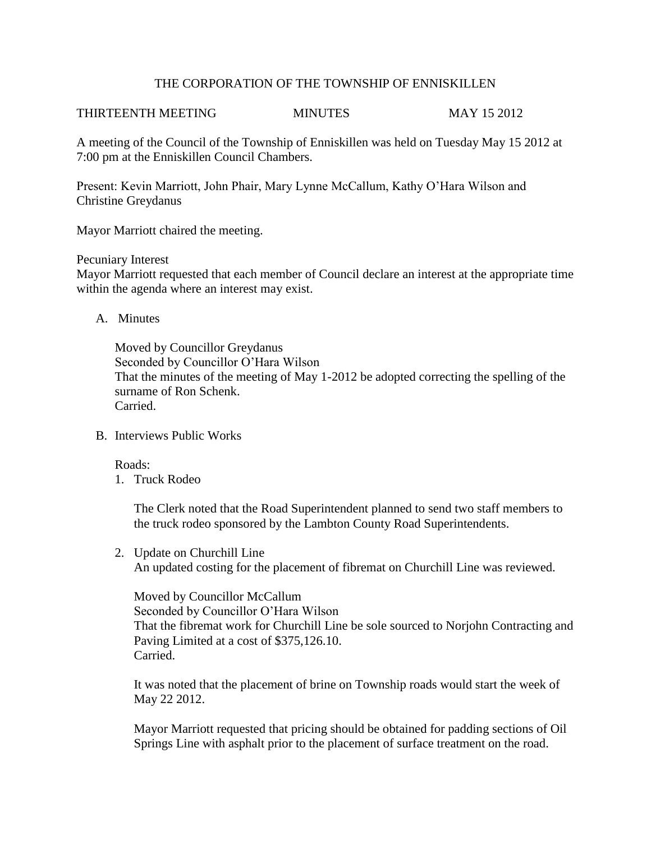## THE CORPORATION OF THE TOWNSHIP OF ENNISKILLEN

# THIRTEENTH MEETING MINUTES MAY 15 2012

A meeting of the Council of the Township of Enniskillen was held on Tuesday May 15 2012 at 7:00 pm at the Enniskillen Council Chambers.

Present: Kevin Marriott, John Phair, Mary Lynne McCallum, Kathy O'Hara Wilson and Christine Greydanus

Mayor Marriott chaired the meeting.

Pecuniary Interest

Mayor Marriott requested that each member of Council declare an interest at the appropriate time within the agenda where an interest may exist.

A. Minutes

Moved by Councillor Greydanus Seconded by Councillor O'Hara Wilson That the minutes of the meeting of May 1-2012 be adopted correcting the spelling of the surname of Ron Schenk. Carried.

B. Interviews Public Works

Roads:

1. Truck Rodeo

The Clerk noted that the Road Superintendent planned to send two staff members to the truck rodeo sponsored by the Lambton County Road Superintendents.

2. Update on Churchill Line An updated costing for the placement of fibremat on Churchill Line was reviewed.

| Moved by Councillor McCallum                                                         |
|--------------------------------------------------------------------------------------|
| Seconded by Councillor O'Hara Wilson                                                 |
| That the fibremat work for Churchill Line be sole sourced to Norjohn Contracting and |
| Paving Limited at a cost of \$375,126.10.                                            |
| Carried.                                                                             |

It was noted that the placement of brine on Township roads would start the week of May 22 2012.

Mayor Marriott requested that pricing should be obtained for padding sections of Oil Springs Line with asphalt prior to the placement of surface treatment on the road.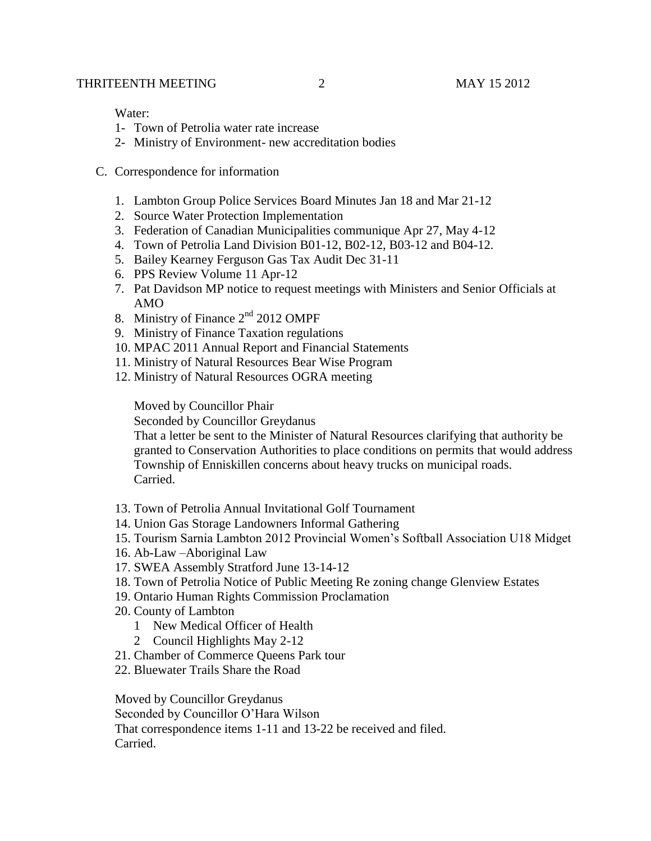Water:

- 1- Town of Petrolia water rate increase
- 2- Ministry of Environment- new accreditation bodies
- C. Correspondence for information
	- 1. Lambton Group Police Services Board Minutes Jan 18 and Mar 21-12
	- 2. Source Water Protection Implementation
	- 3. Federation of Canadian Municipalities communique Apr 27, May 4-12
	- 4. Town of Petrolia Land Division B01-12, B02-12, B03-12 and B04-12.
	- 5. Bailey Kearney Ferguson Gas Tax Audit Dec 31-11
	- 6. PPS Review Volume 11 Apr-12
	- 7. Pat Davidson MP notice to request meetings with Ministers and Senior Officials at AMO
	- 8. Ministry of Finance  $2<sup>nd</sup>$  2012 OMPF
	- 9. Ministry of Finance Taxation regulations
	- 10. MPAC 2011 Annual Report and Financial Statements
	- 11. Ministry of Natural Resources Bear Wise Program
	- 12. Ministry of Natural Resources OGRA meeting

Moved by Councillor Phair

Seconded by Councillor Greydanus

That a letter be sent to the Minister of Natural Resources clarifying that authority be granted to Conservation Authorities to place conditions on permits that would address Township of Enniskillen concerns about heavy trucks on municipal roads. Carried.

- 13. Town of Petrolia Annual Invitational Golf Tournament
- 14. Union Gas Storage Landowners Informal Gathering
- 15. Tourism Sarnia Lambton 2012 Provincial Women's Softball Association U18 Midget
- 16. Ab-Law –Aboriginal Law
- 17. SWEA Assembly Stratford June 13-14-12
- 18. Town of Petrolia Notice of Public Meeting Re zoning change Glenview Estates
- 19. Ontario Human Rights Commission Proclamation
- 20. County of Lambton
	- 1 New Medical Officer of Health
	- 2 Council Highlights May 2-12
- 21. Chamber of Commerce Queens Park tour
- 22. Bluewater Trails Share the Road

Moved by Councillor Greydanus Seconded by Councillor O'Hara Wilson That correspondence items 1-11 and 13-22 be received and filed. Carried.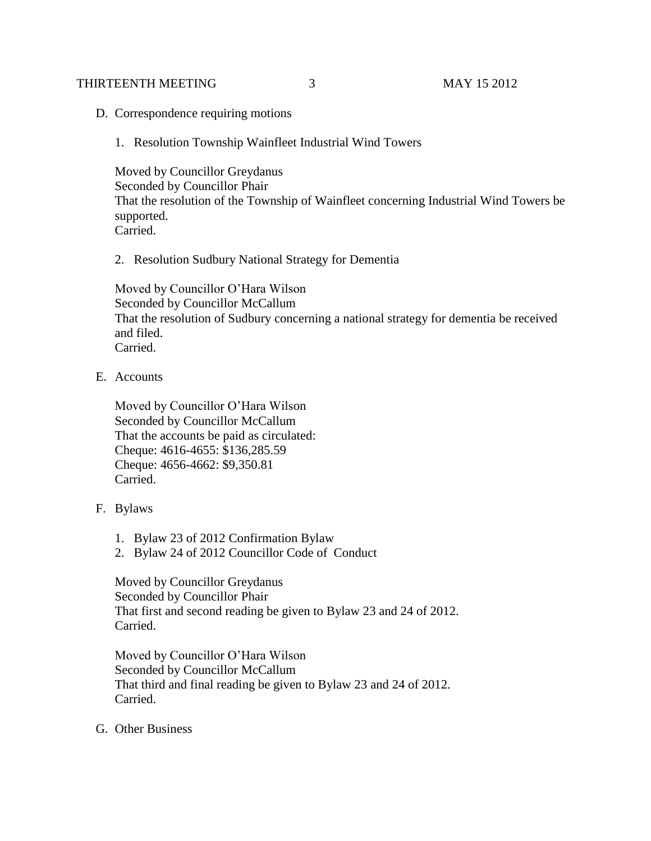#### THIRTEENTH MEETING 3 3 MAY 15 2012

- D. Correspondence requiring motions
	- 1. Resolution Township Wainfleet Industrial Wind Towers

Moved by Councillor Greydanus Seconded by Councillor Phair That the resolution of the Township of Wainfleet concerning Industrial Wind Towers be supported. Carried.

2. Resolution Sudbury National Strategy for Dementia

Moved by Councillor O'Hara Wilson Seconded by Councillor McCallum That the resolution of Sudbury concerning a national strategy for dementia be received and filed. Carried.

E. Accounts

Moved by Councillor O'Hara Wilson Seconded by Councillor McCallum That the accounts be paid as circulated: Cheque: 4616-4655: \$136,285.59 Cheque: 4656-4662: \$9,350.81 Carried.

- F. Bylaws
	- 1. Bylaw 23 of 2012 Confirmation Bylaw
	- 2. Bylaw 24 of 2012 Councillor Code of Conduct

Moved by Councillor Greydanus Seconded by Councillor Phair That first and second reading be given to Bylaw 23 and 24 of 2012. Carried.

Moved by Councillor O'Hara Wilson Seconded by Councillor McCallum That third and final reading be given to Bylaw 23 and 24 of 2012. Carried.

G. Other Business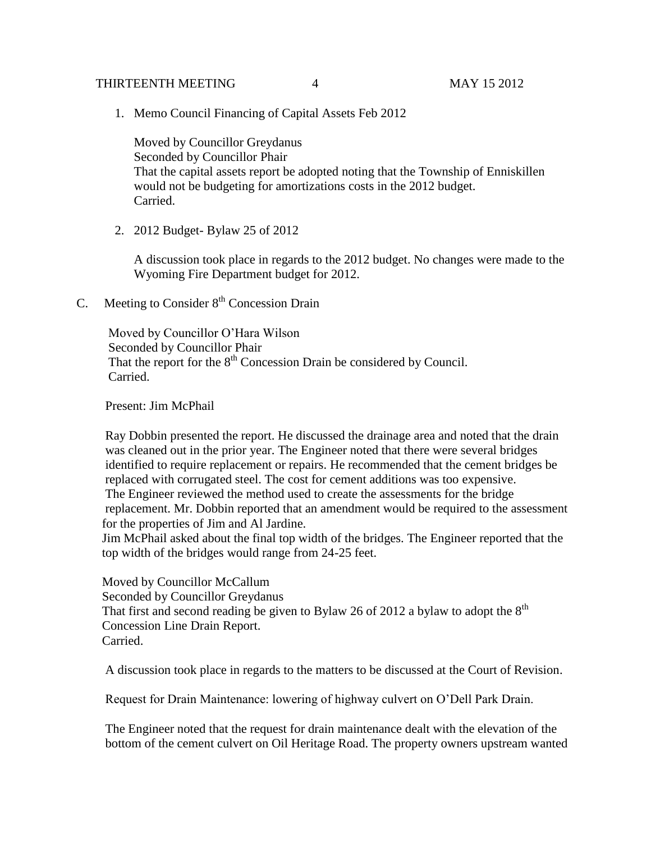### THIRTEENTH MEETING  $\begin{array}{ccc} 4 & 4 & \text{MAX} & 15 & 2012 \\ 4 & 20 & 12 & 12 \\ 1 & 12 & 12 & 12 \\ 2 & 2 & 12 & 12 \\ 2 & 2 & 22 & 12 \\ 2 & 2 & 22 & 12 \\ 2 & 2 & 22 & 12 \\ 2 & 2 & 22 & 12 \\ 2 & 2 & 22 & 12 \\ 2 & 2 & 22 & 12 \\ 2 & 2 & 22 & 12 \\ 2 & 2 & 22 & 12 \\ 2 & 2 & 22 & 12 \\ 2 &$

1. Memo Council Financing of Capital Assets Feb 2012

Moved by Councillor Greydanus Seconded by Councillor Phair That the capital assets report be adopted noting that the Township of Enniskillen would not be budgeting for amortizations costs in the 2012 budget. Carried.

2. 2012 Budget- Bylaw 25 of 2012

A discussion took place in regards to the 2012 budget. No changes were made to the Wyoming Fire Department budget for 2012.

C. Meeting to Consider  $8<sup>th</sup>$  Concession Drain

 Moved by Councillor O'Hara Wilson Seconded by Councillor Phair That the report for the  $8<sup>th</sup>$  Concession Drain be considered by Council. Carried.

Present: Jim McPhail

 Ray Dobbin presented the report. He discussed the drainage area and noted that the drain was cleaned out in the prior year. The Engineer noted that there were several bridges identified to require replacement or repairs. He recommended that the cement bridges be replaced with corrugated steel. The cost for cement additions was too expensive. The Engineer reviewed the method used to create the assessments for the bridge replacement. Mr. Dobbin reported that an amendment would be required to the assessment for the properties of Jim and Al Jardine.

 Jim McPhail asked about the final top width of the bridges. The Engineer reported that the top width of the bridges would range from 24-25 feet.

 Moved by Councillor McCallum Seconded by Councillor Greydanus That first and second reading be given to Bylaw 26 of 2012 a bylaw to adopt the  $8<sup>th</sup>$  Concession Line Drain Report. Carried.

A discussion took place in regards to the matters to be discussed at the Court of Revision.

Request for Drain Maintenance: lowering of highway culvert on O'Dell Park Drain.

 The Engineer noted that the request for drain maintenance dealt with the elevation of the bottom of the cement culvert on Oil Heritage Road. The property owners upstream wanted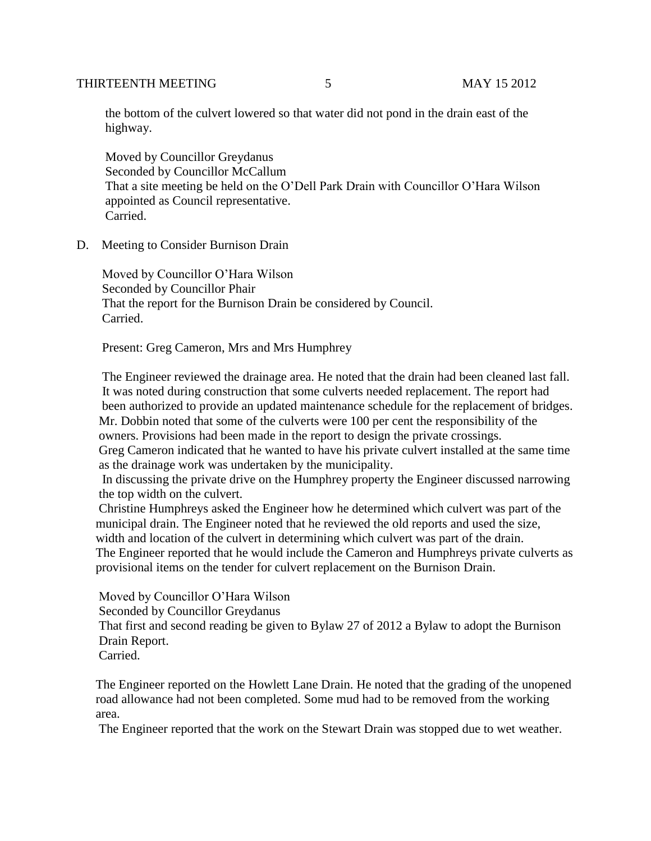### THIRTEENTH MEETING 5 5 MAY 15 2012

 the bottom of the culvert lowered so that water did not pond in the drain east of the highway.

 Moved by Councillor Greydanus Seconded by Councillor McCallum That a site meeting be held on the O'Dell Park Drain with Councillor O'Hara Wilson appointed as Council representative. Carried.

D. Meeting to Consider Burnison Drain

 Moved by Councillor O'Hara Wilson Seconded by Councillor Phair That the report for the Burnison Drain be considered by Council. Carried.

Present: Greg Cameron, Mrs and Mrs Humphrey

 The Engineer reviewed the drainage area. He noted that the drain had been cleaned last fall. It was noted during construction that some culverts needed replacement. The report had been authorized to provide an updated maintenance schedule for the replacement of bridges. Mr. Dobbin noted that some of the culverts were 100 per cent the responsibility of the owners. Provisions had been made in the report to design the private crossings. Greg Cameron indicated that he wanted to have his private culvert installed at the same time as the drainage work was undertaken by the municipality.

 In discussing the private drive on the Humphrey property the Engineer discussed narrowing the top width on the culvert.

 Christine Humphreys asked the Engineer how he determined which culvert was part of the municipal drain. The Engineer noted that he reviewed the old reports and used the size, width and location of the culvert in determining which culvert was part of the drain. The Engineer reported that he would include the Cameron and Humphreys private culverts as provisional items on the tender for culvert replacement on the Burnison Drain.

 Moved by Councillor O'Hara Wilson Seconded by Councillor Greydanus That first and second reading be given to Bylaw 27 of 2012 a Bylaw to adopt the Burnison Drain Report. Carried.

 The Engineer reported on the Howlett Lane Drain. He noted that the grading of the unopened road allowance had not been completed. Some mud had to be removed from the working area.

The Engineer reported that the work on the Stewart Drain was stopped due to wet weather.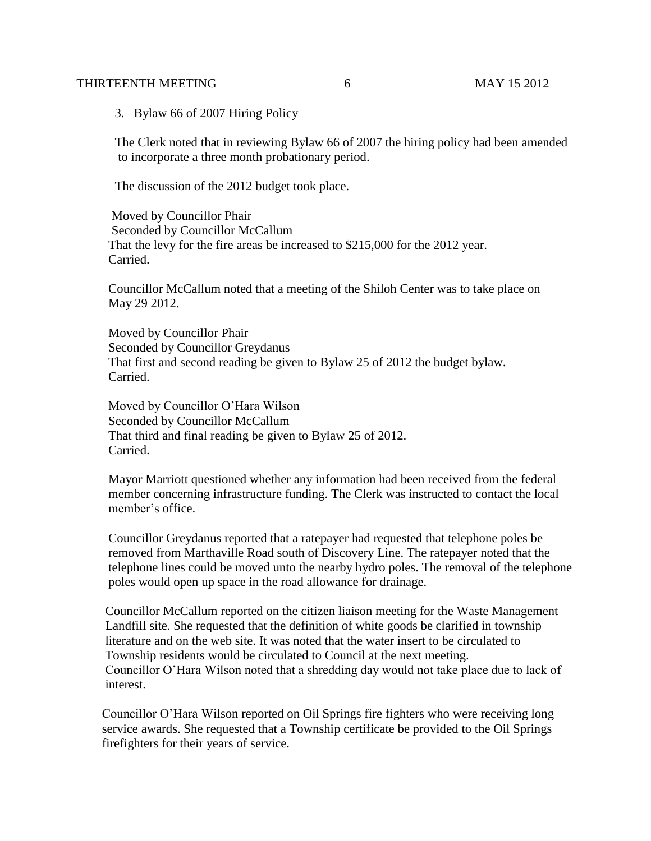### THIRTEENTH MEETING 6 6 MAY 15 2012

3. Bylaw 66 of 2007 Hiring Policy

 The Clerk noted that in reviewing Bylaw 66 of 2007 the hiring policy had been amended to incorporate a three month probationary period.

The discussion of the 2012 budget took place.

 Moved by Councillor Phair Seconded by Councillor McCallum That the levy for the fire areas be increased to \$215,000 for the 2012 year. Carried.

 Councillor McCallum noted that a meeting of the Shiloh Center was to take place on May 29 2012.

 Moved by Councillor Phair Seconded by Councillor Greydanus That first and second reading be given to Bylaw 25 of 2012 the budget bylaw. Carried.

 Moved by Councillor O'Hara Wilson Seconded by Councillor McCallum That third and final reading be given to Bylaw 25 of 2012. Carried.

 Mayor Marriott questioned whether any information had been received from the federal member concerning infrastructure funding. The Clerk was instructed to contact the local member's office.

 Councillor Greydanus reported that a ratepayer had requested that telephone poles be removed from Marthaville Road south of Discovery Line. The ratepayer noted that the telephone lines could be moved unto the nearby hydro poles. The removal of the telephone poles would open up space in the road allowance for drainage.

 Councillor McCallum reported on the citizen liaison meeting for the Waste Management Landfill site. She requested that the definition of white goods be clarified in township literature and on the web site. It was noted that the water insert to be circulated to Township residents would be circulated to Council at the next meeting. Councillor O'Hara Wilson noted that a shredding day would not take place due to lack of interest.

 Councillor O'Hara Wilson reported on Oil Springs fire fighters who were receiving long service awards. She requested that a Township certificate be provided to the Oil Springs firefighters for their years of service.